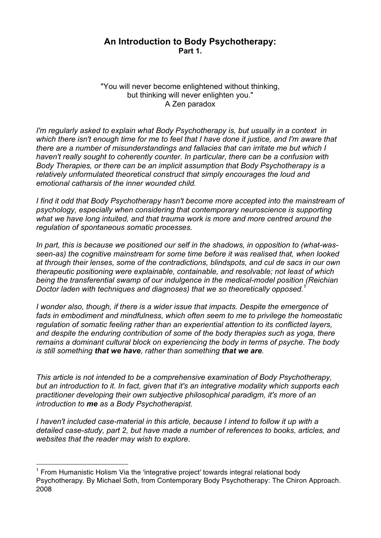## **An Introduction to Body Psychotherapy: Part 1.**

"You will never become enlightened without thinking, but thinking will never enlighten you." A Zen paradox

*I'm regularly asked to explain what Body Psychotherapy is, but usually in a context in* which there isn't enough time for me to feel that I have done it justice, and I'm aware that *there are a number of misunderstandings and fallacies that can irritate me but which I haven't really sought to coherently counter. In particular, there can be a confusion with Body Therapies, or there can be an implicit assumption that Body Psychotherapy is a relatively unformulated theoretical construct that simply encourages the loud and emotional catharsis of the inner wounded child.*

*I find it odd that Body Psychotherapy hasn't become more accepted into the mainstream of psychology, especially when considering that contemporary neuroscience is supporting what we have long intuited, and that trauma work is more and more centred around the regulation of spontaneous somatic processes.*

*In part, this is because we positioned our self in the shadows, in opposition to (what-wasseen-as) the cognitive mainstream for some time before it was realised that, when looked at through their lenses, some of the contradictions, blindspots, and cul de sacs in our own therapeutic positioning were explainable, containable, and resolvable; not least of which being the transferential swamp of our indulgence in the medical-model position (Reichian Doctor laden with techniques and diagnoses) that we so theoretically opposed.1*

*I wonder also, though, if there is a wider issue that impacts. Despite the emergence of fads in embodiment and mindfulness, which often seem to me to privilege the homeostatic regulation of somatic feeling rather than an experiential attention to its conflicted layers, and despite the enduring contribution of some of the body therapies such as yoga, there remains a dominant cultural block on experiencing the body in terms of psyche. The body is still something that we have, rather than something that we are.*

*This article is not intended to be a comprehensive examination of Body Psychotherapy, but an introduction to it. In fact, given that it's an integrative modality which supports each practitioner developing their own subjective philosophical paradigm, it's more of an introduction to me as a Body Psychotherapist.*

*I haven't included case-material in this article, because I intend to follow it up with a detailed case-study, part 2, but have made a number of references to books, articles, and websites that the reader may wish to explore.*

<sup>&</sup>lt;sup>1</sup> From Humanistic Holism Via the 'integrative project' towards integral relational body Psychotherapy. By Michael Soth, from Contemporary Body Psychotherapy: The Chiron Approach. 2008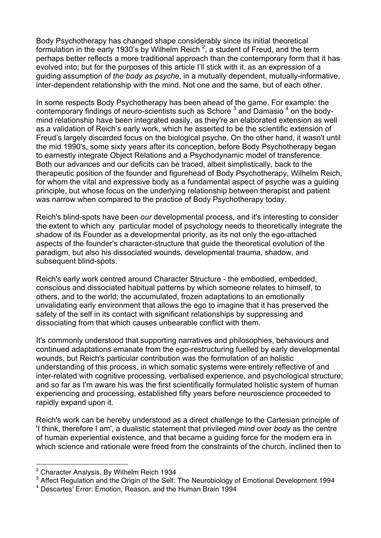Body Psychotherapy has changed shape considerably since its initial theoretical formulation in the early 1930's by Wilhelm Reich  $^2$ , a student of Freud, and the term perhaps better reflects a more traditional approach than the contemporary form that it has evolved into; but for the purposes of this article I'll stick with it, as an expression of a guiding assumption of *the body as psyche*, in a mutually dependent, mutually-informative, inter-dependent relationship with the mind. Not one and the same, but of each other.

In some respects Body Psychotherapy has been ahead of the game. For example: the contemporary findings of neuro-scientists such as Schore<sup>3</sup> and Damasio<sup>4</sup> on the bodymind relationship have been integrated easily, as they're an elaborated extension as well as a validation of Reich's early work, which he asserted to be the scientific extension of Freud's largely discarded focus on the biological psyche. On the other hand, it wasn't until the mid 1990's, some sixty years after its conception, before Body Psychotherapy began to earnestly integrate Object Relations and a Psychodynamic model of transference. Both our advances and our deficits can be traced, albeit simplistically, back to the therapeutic position of the founder and figurehead of Body Psychotherapy, Wilhelm Reich, for whom the vital and expressive body as a fundamental aspect of psyche was a guiding principle, but whose focus on the underlying relationship between therapist and patient was narrow when compared to the practice of Body Psychotherapy today.

Reich's blind-spots have been *our* developmental process, and it's interesting to consider the extent to which any particular model of psychology needs to theoretically integrate the shadow of its Founder as a developmental priority, as its not only the ego-attached aspects of the founder's character-structure that guide the theoretical evolution of the paradigm, but also his dissociated wounds, developmental trauma, shadow, and subsequent blind-spots.

Reich's early work centred around Character Structure - the embodied, embedded, conscious and dissociated habitual patterns by which someone relates to himself, to others, and to the world; the accumulated, frozen adaptations to an emotionally unvalidating early environment that allows the ego to imagine that it has preserved the safety of the self in its contact with significant relationships by suppressing and dissociating from that which causes unbearable conflict with them.

It's commonly understood that supporting narratives and philosophies, behaviours and continued adaptations emanate from the ego-restructuring fuelled by early developmental wounds, but Reich's particular contribution was the formulation of an holistic understanding of this process, in which somatic systems were entirely reflective of and inter-related with cognitive processing, verbalised experience, and psychological structure; and so far as I'm aware his was the first scientifically formulated holistic system of human experiencing and processing, established fifty years before neuroscience proceeded to rapidly expand upon it.

Reich's work can be hereby understood as a direct challenge to the Cartesian principle of 'I think, therefore I am', a dualistic statement that privileged *mind* over *body* as the centre of human experiential existence, and that became a guiding force for the modern era in which science and rationale were freed from the constraints of the church, inclined then to

<sup>2</sup> Character Analysis. By Wilhelm Reich 1934

<sup>&</sup>lt;sup>3</sup> Affect Regulation and the Origin of the Self: The Neurobiology of Emotional Development 1994

<sup>4</sup> Descartes' Error: Emotion, Reason, and the Human Brain 1994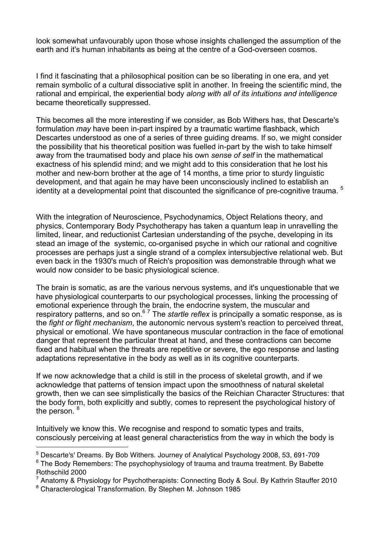look somewhat unfavourably upon those whose insights challenged the assumption of the earth and it's human inhabitants as being at the centre of a God-overseen cosmos.

I find it fascinating that a philosophical position can be so liberating in one era, and yet remain symbolic of a cultural dissociative split in another. In freeing the scientific mind, the rational and empirical, the experiential body *along with all of its intuitions and intelligence* became theoretically suppressed.

This becomes all the more interesting if we consider, as Bob Withers has, that Descarte's formulation *may* have been in-part inspired by a traumatic wartime flashback, which Descartes understood as one of a series of three guiding dreams. If so, we might consider the possibility that his theoretical position was fuelled in-part by the wish to take himself away from the traumatised body and place his own *sense of self* in the mathematical exactness of his splendid mind; and we might add to this consideration that he lost his mother and new-born brother at the age of 14 months, a time prior to sturdy linguistic development, and that again he may have been unconsciously inclined to establish an identity at a developmental point that discounted the significance of pre-cognitive trauma.<sup>5</sup>

With the integration of Neuroscience, Psychodynamics, Object Relations theory, and physics, Contemporary Body Psychotherapy has taken a quantum leap in unravelling the limited, linear, and reductionist Cartesian understanding of the psyche, developing in its stead an image of the systemic, co-organised psyche in which our rational and cognitive processes are perhaps just a single strand of a complex intersubjective relational web. But even back in the 1930's much of Reich's proposition was demonstrable through what we would now consider to be basic physiological science.

The brain is somatic, as are the various nervous systems, and it's unquestionable that we have physiological counterparts to our psychological processes, linking the processing of emotional experience through the brain, the endocrine system, the muscular and respiratory patterns, and so on.6 <sup>7</sup> The *startle reflex* is principally a somatic response, as is the *fight or flight mechanism*, the autonomic nervous system's reaction to perceived threat, physical or emotional. We have spontaneous muscular contraction in the face of emotional danger that represent the particular threat at hand, and these contractions can become fixed and habitual when the threats are repetitive or severe, the ego response and lasting adaptations representative in the body as well as in its cognitive counterparts.

If we now acknowledge that a child is still in the process of skeletal growth, and if we acknowledge that patterns of tension impact upon the smoothness of natural skeletal growth, then we can see simplistically the basics of the Reichian Character Structures: that the body form, both explicitly and subtly, comes to represent the psychological history of the person. <sup>8</sup>

Intuitively we know this. We recognise and respond to somatic types and traits, consciously perceiving at least general characteristics from the way in which the body is

<sup>5</sup> Descarte's' Dreams. By Bob Withers. Journey of Analytical Psychology 2008, 53, 691-709

 $6$  The Body Remembers: The psychophysiology of trauma and trauma treatment. By Babette Rothschild 2000

<sup>7</sup> Anatomy & Physiology for Psychotherapists: Connecting Body & Soul. By Kathrin Stauffer 2010

<sup>8</sup> Characterological Transformation. By Stephen M. Johnson 1985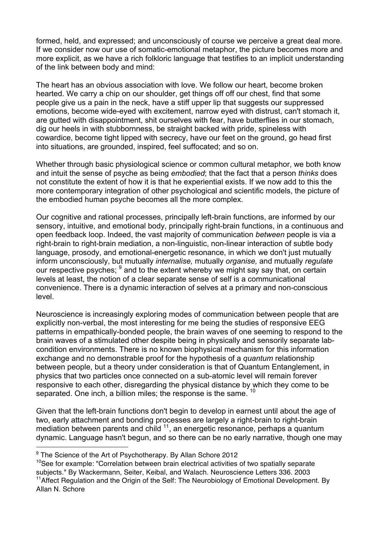formed, held, and expressed; and unconsciously of course we perceive a great deal more. If we consider now our use of somatic-emotional metaphor, the picture becomes more and more explicit, as we have a rich folkloric language that testifies to an implicit understanding of the link between body and mind:

The heart has an obvious association with love. We follow our heart, become broken hearted. We carry a chip on our shoulder, get things off off our chest, find that some people give us a pain in the neck, have a stiff upper lip that suggests our suppressed emotions, become wide-eyed with excitement, narrow eyed with distrust, can't stomach it, are gutted with disappointment, shit ourselves with fear, have butterflies in our stomach, dig our heels in with stubbornness, be straight backed with pride, spineless with cowardice, become tight lipped with secrecy, have our feet on the ground, go head first into situations, are grounded, inspired, feel suffocated; and so on.

Whether through basic physiological science or common cultural metaphor, we both know and intuit the sense of psyche as being *embodied*; that the fact that a person *thinks* does not constitute the extent of how it is that he experiential exists. If we now add to this the more contemporary integration of other psychological and scientific models, the picture of the embodied human psyche becomes all the more complex.

Our cognitive and rational processes, principally left-brain functions, are informed by our sensory, intuitive, and emotional body, principally right-brain functions, in a continuous and open feedback loop. Indeed, the vast majority of communication *between* people is via a right-brain to right-brain mediation, a non-linguistic, non-linear interaction of subtle body language, prosody, and emotional-energetic resonance, in which we don't just mutually inform unconsciously, but mutually *internalise,* mutually *organise,* and mutually *regulate* our respective psyches; <sup>9</sup> and to the extent whereby we might say say that, on certain levels at least, the notion of a clear separate sense of self is a communicational convenience. There is a dynamic interaction of selves at a primary and non-conscious level.

Neuroscience is increasingly exploring modes of communication between people that are explicitly non-verbal, the most interesting for me being the studies of responsive EEG patterns in empathically-bonded people, the brain waves of one seeming to respond to the brain waves of a stimulated other despite being in physically and sensorily separate labcondition environments. There is no known biophysical mechanism for this information exchange and no demonstrable proof for the hypothesis of a *quantum* relationship between people, but a theory under consideration is that of Quantum Entanglement, in physics that two particles once connected on a sub-atomic level will remain forever responsive to each other, disregarding the physical distance by which they come to be separated. One inch, a billion miles; the response is the same. <sup>10</sup>

Given that the left-brain functions don't begin to develop in earnest until about the age of two, early attachment and bonding processes are largely a right-brain to right-brain mediation between parents and child  $11$ , an energetic resonance, perhaps a quantum dynamic. Language hasn't begun, and so there can be no early narrative, though one may

 $\overline{a}$ 

<sup>10</sup>See for example: "Correlation between brain electrical activities of two spatially separate subjects." By Wackermann, Seiter, Keibal, and Walach. Neuroscience Letters 336. 2003 <sup>11</sup> Affect Regulation and the Origin of the Self: The Neurobiology of Emotional Development. By Allan N. Schore

 $9$  The Science of the Art of Psychotherapy. By Allan Schore 2012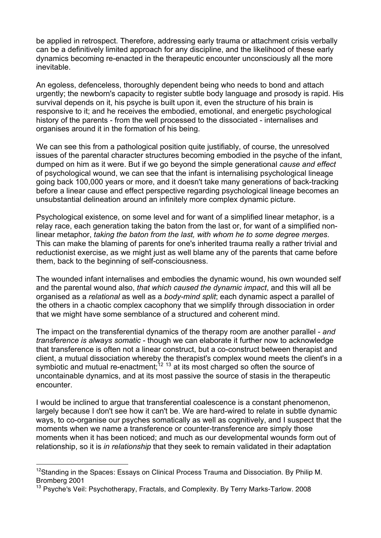be applied in retrospect. Therefore, addressing early trauma or attachment crisis verbally can be a definitively limited approach for any discipline, and the likelihood of these early dynamics becoming re-enacted in the therapeutic encounter unconsciously all the more inevitable.

An egoless, defenceless, thoroughly dependent being who needs to bond and attach urgently; the newborn's capacity to register subtle body language and prosody is rapid. His survival depends on it, his psyche is built upon it, even the structure of his brain is responsive to it; and he receives the embodied, emotional, and energetic psychological history of the parents - from the well processed to the dissociated - internalises and organises around it in the formation of his being.

We can see this from a pathological position quite justifiably, of course, the unresolved issues of the parental character structures becoming embodied in the psyche of the infant, dumped on him as it were. But if we go beyond the simple generational *cause and effect* of psychological wound, we can see that the infant is internalising psychological lineage going back 100,000 years or more, and it doesn't take many generations of back-tracking before a linear cause and effect perspective regarding psychological lineage becomes an unsubstantial delineation around an infinitely more complex dynamic picture.

Psychological existence, on some level and for want of a simplified linear metaphor, is a relay race, each generation taking the baton from the last or, for want of a simplified nonlinear metaphor, *taking the baton from the last, with whom he to some degree merges*. This can make the blaming of parents for one's inherited trauma really a rather trivial and reductionist exercise, as we might just as well blame any of the parents that came before them, back to the beginning of self-consciousness.

The wounded infant internalises and embodies the dynamic wound, his own wounded self and the parental wound also, *that which caused the dynamic impact*, and this will all be organised as a *relational* as well as a *body-mind split*; each dynamic aspect a parallel of the others in a chaotic complex cacophony that we simplify through dissociation in order that we might have some semblance of a structured and coherent mind.

The impact on the transferential dynamics of the therapy room are another parallel - *and transference is always somatic* - though we can elaborate it further now to acknowledge that transference is often not a linear construct, but a co-construct between therapist and client, a mutual dissociation whereby the therapist's complex wound meets the client's in a show, a matally also shake in more by the thoropiece complex weaks most the source of symbiotic and mutual re-enactment:<sup>12</sup> <sup>13</sup> at its most charged so often the source of uncontainable dynamics, and at its most passive the source of stasis in the therapeutic encounter.

I would be inclined to argue that transferential coalescence is a constant phenomenon, largely because I don't see how it can't be. We are hard-wired to relate in subtle dynamic ways, to co-organise our psyches somatically as well as cognitively, and I suspect that the moments when we name a transference or counter-transference are simply those moments when it has been noticed; and much as our developmental wounds form out of relationship, so it is *in relationship* that they seek to remain validated in their adaptation

<sup>&</sup>lt;sup>12</sup>Standing in the Spaces: Essays on Clinical Process Trauma and Dissociation. By Philip M. Bromberg 2001

<sup>&</sup>lt;sup>13</sup> Psyche's Veil: Psychotherapy, Fractals, and Complexity. By Terry Marks-Tarlow. 2008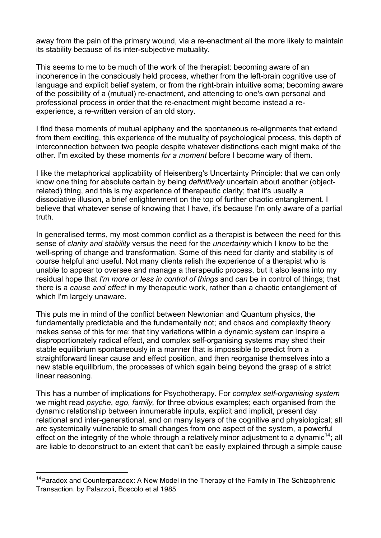away from the pain of the primary wound, via a re-enactment all the more likely to maintain its stability because of its inter-subjective mutuality.

This seems to me to be much of the work of the therapist: becoming aware of an incoherence in the consciously held process, whether from the left-brain cognitive use of language and explicit belief system, or from the right-brain intuitive soma; becoming aware of the possibility of a (mutual) re-enactment, and attending to one's own personal and professional process in order that the re-enactment might become instead a reexperience, a re-written version of an old story.

I find these moments of mutual epiphany and the spontaneous re-alignments that extend from them exciting, this experience of the mutuality of psychological process, this depth of interconnection between two people despite whatever distinctions each might make of the other. I'm excited by these moments *for a moment* before I become wary of them.

I like the metaphorical applicability of Heisenberg's Uncertainty Principle: that we can only know one thing for absolute certain by being *definitively* uncertain about another (objectrelated) thing, and this is my experience of therapeutic clarity; that it's usually a dissociative illusion, a brief enlightenment on the top of further chaotic entanglement. I believe that whatever sense of knowing that I have, it's because I'm only aware of a partial truth.

In generalised terms, my most common conflict as a therapist is between the need for this sense of *clarity and stability* versus the need for the *uncertainty* which I know to be the well-spring of change and transformation. Some of this need for clarity and stability is of course helpful and useful. Not many clients relish the experience of a therapist who is unable to appear to oversee and manage a therapeutic process, but it also leans into my residual hope that *I'm more or less in control of things* and *can* be in control of things; that there is a *cause and effect* in my therapeutic work, rather than a chaotic entanglement of which I'm largely unaware.

This puts me in mind of the conflict between Newtonian and Quantum physics, the fundamentally predictable and the fundamentally not; and chaos and complexity theory makes sense of this for me: that tiny variations within a dynamic system can inspire a disproportionately radical effect, and complex self-organising systems may shed their stable equilibrium spontaneously in a manner that is impossible to predict from a straightforward linear cause and effect position, and then reorganise themselves into a new stable equilibrium, the processes of which again being beyond the grasp of a strict linear reasoning.

This has a number of implications for Psychotherapy. For *complex self-organising system* we might read *psyche*, *ego*, *family,* for three obvious examples; each organised from the dynamic relationship between innumerable inputs, explicit and implicit, present day relational and inter-generational, and on many layers of the cognitive and physiological; all are systemically vulnerable to small changes from one aspect of the system, a powerful effect on the integrity of the whole through a relatively minor adjustment to a dynamic<sup>14</sup>; all are liable to deconstruct to an extent that can't be easily explained through a simple cause

<sup>&</sup>lt;sup>14</sup>Paradox and Counterparadox: A New Model in the Therapy of the Family in The Schizophrenic Transaction. by Palazzoli, Boscolo et al 1985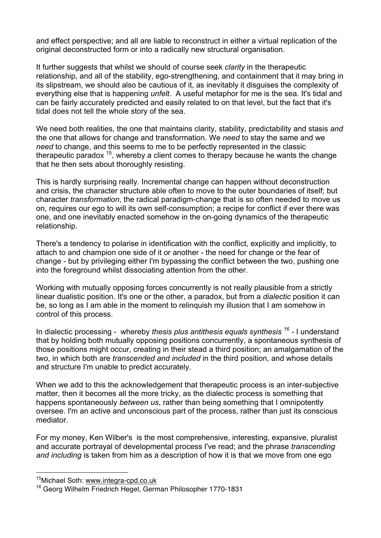and effect perspective; and all are liable to reconstruct in either a virtual replication of the original deconstructed form or into a radically new structural organisation.

It further suggests that whilst we should of course seek *clarity* in the therapeutic relationship, and all of the stability, ego-strengthening, and containment that it may bring in its slipstream, we should also be cautious of it, as inevitably it disguises the complexity of everything else that is happening *unfelt*. A useful metaphor for me is the sea. It's tidal and can be fairly accurately predicted and easily related to on that level, but the fact that it's tidal does not tell the whole story of the sea.

We need both realities, the one that maintains clarity, stability, predictability and stasis *and* the one that allows for change and transformation. We *need* to stay the same and we *need* to change, and this seems to me to be perfectly represented in the classic therapeutic paradox  $15$ , whereby a client comes to therapy because he wants the change that he then sets about thoroughly resisting.

This is hardly surprising really. Incremental change can happen without deconstruction and crisis, the character structure able often to move to the outer boundaries of itself; but character *transformation*, the radical paradigm-change that is so often needed to move us on, requires our ego to will its own self-consumption; a recipe for conflict if ever there was one, and one inevitably enacted somehow in the on-going dynamics of the therapeutic relationship.

There's a tendency to polarise in identification with the conflict, explicitly and implicitly, to attach to and champion one side of it or another - the need for change or the fear of change - but by privileging either I'm bypassing the conflict between the two, pushing one into the foreground whilst dissociating attention from the other.

Working with mutually opposing forces concurrently is not really plausible from a strictly linear dualistic position. It's one or the other, a paradox, but from a *dialectic* position it can be, so long as I am able in the moment to relinquish my illusion that I am somehow in control of this process.

In dialectic processing - whereby *thesis plus antithesis equals synthesis <sup>16</sup> -* I understand that by holding both mutually opposing positions concurrently, a spontaneous synthesis of those positions might occur, creating in their stead a third position; an amalgamation of the two, in which both are *transcended and included* in the third position, and whose details and structure I'm unable to predict accurately.

When we add to this the acknowledgement that therapeutic process is an inter-subjective matter, then it becomes all the more tricky, as the dialectic process is something that happens spontaneously *between us*, rather than being something that I omnipotently oversee. I'm an active and unconscious part of the process, rather than just its conscious mediator.

For my money, Ken Wilber's is the most comprehensive, interesting, expansive, pluralist and accurate portrayal of developmental process I've read; and the phrase *transcending and including* is taken from him as a description of how it is that we move from one ego

<sup>15</sup>Michael Soth: www.integra-cpd.co.uk

<sup>16</sup> Georg Wilhelm Friedrich Hegel, German Philosopher 1770-1831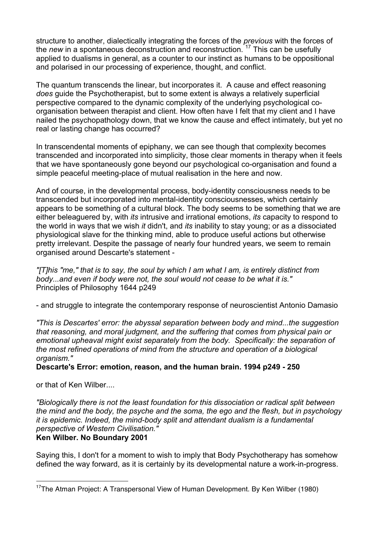structure to another, dialectically integrating the forces of the *previous* with the forces of the *new* in a spontaneous deconstruction and reconstruction.<sup>17</sup> This can be usefully applied to dualisms in general, as a counter to our instinct as humans to be oppositional and polarised in our processing of experience, thought, and conflict.

The quantum transcends the linear, but incorporates it. A cause and effect reasoning *does* guide the Psychotherapist, but to some extent is always a relatively superficial perspective compared to the dynamic complexity of the underlying psychological coorganisation between therapist and client. How often have I felt that my client and I have nailed the psychopathology down, that we know the cause and effect intimately, but yet no real or lasting change has occurred?

In transcendental moments of epiphany, we can see though that complexity becomes transcended and incorporated into simplicity, those clear moments in therapy when it feels that we have spontaneously gone beyond our psychological co-organisation and found a simple peaceful meeting-place of mutual realisation in the here and now.

And of course, in the developmental process, body-identity consciousness needs to be transcended but incorporated into mental-identity consciousnesses, which certainly appears to be something of a cultural block. The body seems to be something that we are either beleaguered by, with *its* intrusive and irrational emotions, *its* capacity to respond to the world in ways that we wish *it* didn't, and *its* inability to stay young; or as a dissociated physiological slave for the thinking mind, able to produce useful actions but otherwise pretty irrelevant. Despite the passage of nearly four hundred years, we seem to remain organised around Descarte's statement -

*"[T]his "me," that is to say, the soul by which I am what I am, is entirely distinct from body...and even if body were not, the soul would not cease to be what it is."* Principles of Philosophy 1644 p249

- and struggle to integrate the contemporary response of neuroscientist Antonio Damasio

*"This is Descartes' error: the abyssal separation between body and mind...the suggestion that reasoning, and moral judgment, and the suffering that comes from physical pain or emotional upheaval might exist separately from the body. Specifically: the separation of the most refined operations of mind from the structure and operation of a biological organism."*

**Descarte's Error: emotion, reason, and the human brain. 1994 p249 - 250**

or that of Ken Wilber....

 $\overline{a}$ 

*"Biologically there is not the least foundation for this dissociation or radical split between the mind and the body, the psyche and the soma, the ego and the flesh, but in psychology it is epidemic. Indeed, the mind-body split and attendant dualism is a fundamental perspective of Western Civilisation."* **Ken Wilber. No Boundary 2001**

Saying this, I don't for a moment to wish to imply that Body Psychotherapy has somehow defined the way forward, as it is certainly by its developmental nature a work-in-progress.

<sup>&</sup>lt;sup>17</sup>The Atman Project: A Transpersonal View of Human Development. By Ken Wilber (1980)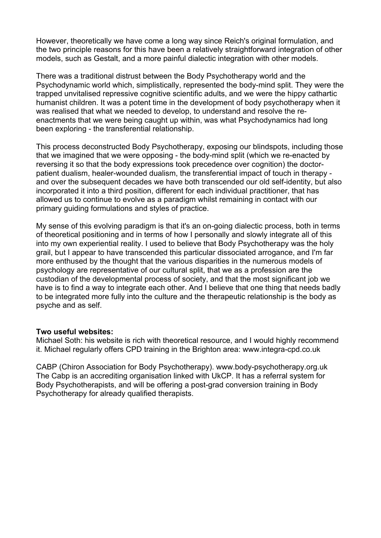However, theoretically we have come a long way since Reich's original formulation, and the two principle reasons for this have been a relatively straightforward integration of other models, such as Gestalt, and a more painful dialectic integration with other models.

There was a traditional distrust between the Body Psychotherapy world and the Psychodynamic world which, simplistically, represented the body-mind split. They were the trapped unvitalised repressive cognitive scientific adults, and we were the hippy cathartic humanist children. It was a potent time in the development of body psychotherapy when it was realised that what we needed to develop, to understand and resolve the reenactments that we were being caught up within, was what Psychodynamics had long been exploring - the transferential relationship.

This process deconstructed Body Psychotherapy, exposing our blindspots, including those that we imagined that we were opposing - the body-mind split (which we re-enacted by reversing it so that the body expressions took precedence over cognition) the doctorpatient dualism, healer-wounded dualism, the transferential impact of touch in therapy and over the subsequent decades we have both transcended our old self-identity, but also incorporated it into a third position, different for each individual practitioner, that has allowed us to continue to evolve as a paradigm whilst remaining in contact with our primary guiding formulations and styles of practice.

My sense of this evolving paradigm is that it's an on-going dialectic process, both in terms of theoretical positioning and in terms of how I personally and slowly integrate all of this into my own experiential reality. I used to believe that Body Psychotherapy was the holy grail, but I appear to have transcended this particular dissociated arrogance, and I'm far more enthused by the thought that the various disparities in the numerous models of psychology are representative of our cultural split, that we as a profession are the custodian of the developmental process of society, and that the most significant job we have is to find a way to integrate each other. And I believe that one thing that needs badly to be integrated more fully into the culture and the therapeutic relationship is the body as psyche and as self.

## **Two useful websites:**

Michael Soth: his website is rich with theoretical resource, and I would highly recommend it. Michael regularly offers CPD training in the Brighton area: www.integra-cpd.co.uk

CABP (Chiron Association for Body Psychotherapy). www.body-psychotherapy.org.uk The Cabp is an accrediting organisation linked with UkCP. It has a referral system for Body Psychotherapists, and will be offering a post-grad conversion training in Body Psychotherapy for already qualified therapists.